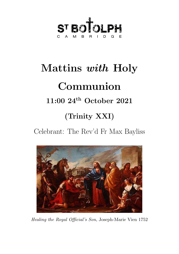

# Mattins with Holy Communion 11:00 24th October 2021 (Trinity XXI)

Celebrant: The Rev'd Fr Max Bayliss



Healing the Royal Official's Son, Joseph-Marie Vien 1752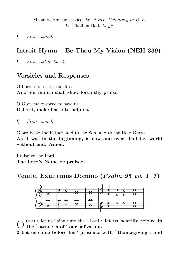Music before the service: W. Boyce, *Voluntary in D*;  $\&$ G. Thalben-Ball, Elegy

¶ Please stand.

# Introit Hymn – Be Thou My Vision (NEH 339)

¶ Please sit or kneel.

# Versicles and Responses

O Lord, open thou our lips. And our mouth shall shew forth thy praise.

O God, make speed to save us. O Lord, make haste to help us.

¶ Please stand.

Glory be to the Father, and to the Son, and to the Holy Ghost, As it was in the beginning, is now and ever shall be, world without end. Amen.

Praise ye the Lord. The Lord's Name be praised.

Venite, Exultemus Domino (Psalm 95 vv.  $1-7$ )



O COME, let us ' sing unto the ' Lord : let us heartily rejoice in the ' strength of ' our sal'vation.

2 Let us come before his ' presence with ' thanksgiving : and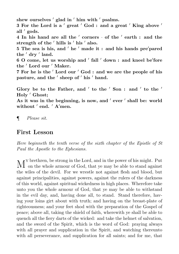shew ourselves  $'$  glad in  $'$  him with  $'$  psalms. 3 For the Lord is a 'great 'God : and a great 'King above ' all ' gods. 4 In his hand are all the  $'$  corners  $\cdot$  of the  $'$  earth : and the strength of the  $\prime$  hills is  $\prime$  his  $\prime$  also. 5 The sea is his, and  $'$  he  $'$  made it : and his hands pre $'$ pared the ' dry ' land. 6 O come, let us worship and ' fall ' down : and kneel be'fore the 'Lord our 'Maker. 7 For he is the 'Lord our 'God : and we are the people of his pasture, and the ' sheep of ' his ' hand. Glory be to the Father, and ' to the ' Son : and ' to the ' Holy ' Ghost; As it was in the beginning, is now, and ' ever ' shall be: world without ' end. ' A'men.

¶ Please sit.

#### First Lesson

Here beginneth the tenth verse of the sixth chapter of the Epistle of St Paul the Apostle to the Ephesians.

 $\bf{M}^{\rm v}$  brethren, be strong in the Lord, and in the power of his might. Put on the whole armour of God, that ye may be able to stand against on the whole armour of God, that ye may be able to stand against the wiles of the devil. For we wrestle not against flesh and blood, but against principalities, against powers, against the rulers of the darkness of this world, against spiritual wickedness in high places. Wherefore take unto you the whole armour of God, that ye may be able to withstand in the evil day, and, having done all, to stand. Stand therefore, having your loins girt about with truth; and having on the breast-plate of righteousness; and your feet shod with the preparation of the Gospel of peace; above all, taking the shield of faith, wherewith ye shall be able to quench all the fiery darts of the wicked: and take the helmet of salvation, and the sword of the Spirit, which is the word of God: praying always with all prayer and supplication in the Spirit, and watching thereunto with all perseverance, and supplication for all saints; and for me, that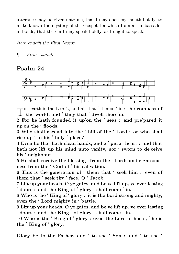utterance may be given unto me, that I may open my mouth boldly, to make known the mystery of the Gospel, for which I am an ambassador in bonds; that therein I may speak boldly, as I ought to speak.

Here endeth the First Lesson.

¶ Please stand.

## Psalm 24



 $\int_{0}^{\text{HE earth is the Lord's, and all that 'there' in.}}$ HE earth is the Lord's, and all that ' therein ' is : the compass of

2 For he hath founded it up'on the ' seas : and pre'pared it up'on the ' floods.

3 Who shall ascend into the ' hill of the ' Lord : or who shall rise up ' in his ' holy ' place?

 $4$  Even he that hath clean hands, and a  $\prime$  pure  $\prime$  heart : and that hath not lift up his mind unto vanity, nor  $'$  sworn to de $'$ ceive his ' neighbour.

5 He shall receive the blessing ' from the ' Lord: and righteousness from the ' God of ' his sal'vation.

6 This is the generation of ' them that ' seek him : even of them that  $'$  seek thy  $'$  face,  $O'$  Jacob.

7 Lift up your heads, O ye gates, and be ye lift up, ye ever'lasting  $\prime$  doors : and the King of  $\prime$  glory  $\prime$  shall come  $\prime$  in.

8 Who is the 'King of' glory : it is the Lord strong and mighty, even the 'Lord mighty in ' battle.

9 Lift up your heads, O ye gates, and be ye lift up, ye ever'lasting  $\prime$  doors : and the King  $\prime$  of glory  $\prime$  shall come  $\prime$  in.

10 Who is the  $'$  King of  $'$  glory : even the Lord of hosts,  $'$  he is the  $'$  King of  $'$  glory.

Glory be to the Father, and ' to the ' Son : and ' to the '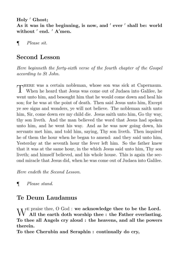Holy ' Ghost;

As it was in the beginning, is now, and ' ever ' shall be: world without ' end. ' A'men.

¶ Please sit.

## Second Lesson

Here beginneth the forty-sixth verse of the fourth chapter of the Gospel according to St John.

 $\Gamma$  HERE was a certain nobleman, whose son was sick at Capernaum. When he heard that Jesus was come out of Judaea into Galilee, he When he heard that Jesus was come out of Judaea into Galilee, he went unto him, and besought him that he would come down and heal his son; for he was at the point of death. Then said Jesus unto him, Except ye see signs and wonders, ye will not believe. The nobleman saith unto him, Sir, come down ere my child die. Jesus saith unto him, Go thy way, thy son liveth. And the man believed the word that Jesus had spoken unto him, and he went his way. And as he was now going down, his servants met him, and told him, saying, Thy son liveth. Then inquired he of them the hour when he began to amend: and they said unto him, Yesterday at the seventh hour the fever left him. So the father knew that it was at the same hour, in the which Jesus said unto him, Thy son liveth; and himself believed, and his whole house. This is again the second miracle that Jesus did, when he was come out of Judaea into Galilee.

Here endeth the Second Lesson.

¶ Please stand.

## Te Deum Laudamus

 $\operatorname{W}^{\rm E~praise~thee,~O~God}$  : we acknowledge thee to be the Lord.<br>W  $\operatorname{All}$  the earth doth worship thee : the Father everlasting All the earth doth worship thee : the Father everlasting. To thee all Angels cry aloud : the heavens, and all the powers therein.

To thee Cherubin and Seraphin : continually do cry,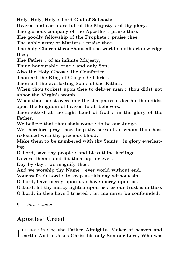Holy, Holy, Holy : Lord God of Sabaoth;

Heaven and earth are full of the Majesty : of thy glory.

The glorious company of the Apostles : praise thee.

The goodly fellowship of the Prophets : praise thee.

The noble army of Martyrs : praise thee.

The holy Church throughout all the world : doth acknowledge thee;

The Father : of an infinite Majesty;

Thine honourable, true : and only Son;

Also the Holy Ghost : the Comforter.

Thou art the King of Glory : O Christ.

Thou art the everlasting Son : of the Father.

When thou tookest upon thee to deliver man : thou didst not abhor the Virgin's womb.

When thou hadst overcome the sharpness of death : thou didst open the kingdom of heaven to all believers.

Thou sittest at the right hand of God : in the glory of the Father.

We believe that thou shalt come : to be our Judge.

We therefore pray thee, help thy servants : whom thou hast redeemed with thy precious blood.

Make them to be numbered with thy Saints : in glory everlasting.

O Lord, save thy people : and bless thine heritage.

Govern them : and lift them up for ever.

Day by day : we magnify thee;

And we worship thy Name : ever world without end.

Vouchsafe, O Lord : to keep us this day without sin.

O Lord, have mercy upon us : have mercy upon us.

O Lord, let thy mercy lighten upon us : as our trust is in thee.

O Lord, in thee have I trusted : let me never be confounded.

¶ Please stand.

# Apostles' Creed

I BELIEVE in God the Father Almighty, Maker of heaven and<br>I earth: And in Jesus Christ his only Son our Lord, Who was r BELIEVE in God the Father Almighty, Maker of heaven and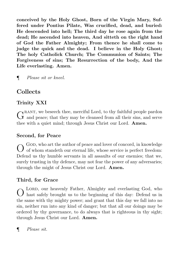conceived by the Holy Ghost, Born of the Virgin Mary, Suffered under Pontius Pilate, Was crucified, dead, and buried: He descended into hell; The third day he rose again from the dead; He ascended into heaven, And sitteth on the right hand of God the Father Almighty; From thence he shall come to judge the quick and the dead. I believe in the Holy Ghost; The holy Catholick Church; The Communion of Saints; The Forgiveness of sins; The Resurrection of the body, And the Life everlasting. Amen.

¶ Please sit or kneel.

# Collects

## Trinity XXI

 $G<sup>RANT</sup>$ , we be seech thee, merciful Lord, to thy faithful people pardon  $G<sup>l</sup>$  and peace; that they may be cleansed from all their sins, and serve  $\gamma$ RANT, we beseech thee, merciful Lord, to thy faithful people pardon thee with a quiet mind; through Jesus Christ our Lord. Amen.

#### Second, for Peace

O GOD, who art the author of peace and lover of concord, in knowledge of whom standeth our eternal life, whose service is perfect freedom: Defend us thy humble servants in all assaults of our enemies; that we, surely trusting in thy defence, may not fear the power of any adversaries; through the might of Jesus Christ our Lord. Amen.

#### Third, for Grace

O hast safely brought us to the beginning of this day: Defend us in LORD, our heavenly Father, Almighty and everlasting God, who the same with thy mighty power; and grant that this day we fall into no sin, neither run into any kind of danger; but that all our doings may be ordered by thy governance, to do always that is righteous in thy sight; through Jesus Christ our Lord. Amen.

¶ Please sit.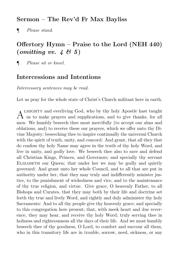#### Sermon – The Rev'd Fr Max Bayliss

¶ Please stand.

# Offertory Hymn – Praise to the Lord (NEH 440)  $(\textit{omitting vv. } 465)$

¶ Please sit or kneel.

#### Intercessions and Intentions

Intercessory sentences may be read.

Let us pray for the whole state of Christ's Church militant here in earth.

 $A<sup>LMIGHTY</sup>$  and everliving God, who by thy holy Apostle hast taught us to make prayers and supplications, and to give thanks, for all LMIGHTY and everliving God, who by thy holy Apostle hast taught men: We humbly beseech thee most mercifully (to accept our alms and oblations, and) to receive these our prayers, which we offer unto thy Divine Majesty; beseeching thee to inspire continually the universal Church with the spirit of truth, unity, and concord: And grant, that all they that do confess thy holy Name may agree in the truth of thy holy Word, and live in unity, and godly love. We beseech thee also to save and defend all Christian Kings, Princes, and Governors; and specially thy servant ELIZABETH our Queen; that under her we may be godly and quietly governed: And grant unto her whole Council, and to all that are put in authority under her, that they may truly and indifferently minister justice, to the punishment of wickedness and vice, and to the maintenance of thy true religion, and virtue. Give grace, O heavenly Father, to all Bishops and Curates, that they may both by their life and doctrine set forth thy true and lively Word, and rightly and duly administer thy holy Sacraments: And to all thy people give thy heavenly grace; and specially to this congregation here present; that, with meek heart and due reverence, they may hear, and receive thy holy Word; truly serving thee in holiness and righteousness all the days of their life. And we most humbly beseech thee of thy goodness, O Lord, to comfort and succour all them, who in this transitory life are in trouble, sorrow, need, sickness, or any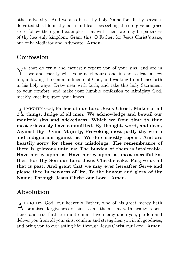other adversity. And we also bless thy holy Name for all thy servants departed this life in thy faith and fear; beseeching thee to give us grace so to follow their good examples, that with them we may be partakers of thy heavenly kingdom: Grant this, O Father, for Jesus Christ's sake, our only Mediator and Advocate. Amen.

#### Confession

 $\boldsymbol{\mathrm{Y}}^{\mathrm{E}}$  that do truly and earnestly repent you of your sins, and are in love and charity with your neighbours, and intend to lead a new love and charity with your neighbours, and intend to lead a new life, following the commandments of God, and walking from henceforth in his holy ways: Draw near with faith, and take this holy Sacrament to your comfort; and make your humble confession to Almighty God, meekly kneeling upon your knees.

 $A$   $_{\rm{things,~Judge~of~all~men:~We~acknowledge~and~bewail~our}$ LMIGHTY God, Father of our Lord Jesus Christ, Maker of all manifold sins and wickedness, Which we from time to time most grievously have committed, By thought, word, and deed, Against thy Divine Majesty, Provoking most justly thy wrath and indignation against us. We do earnestly repent, And are heartily sorry for these our misdoings; The remembrance of them is grievous unto us; The burden of them is intolerable. Have mercy upon us, Have mercy upon us, most merciful Father; For thy Son our Lord Jesus Christ's sake, Forgive us all that is past; And grant that we may ever hereafter Serve and please thee In newness of life, To the honour and glory of thy Name; Through Jesus Christ our Lord. Amen.

## Absolution

A LMIGHTY God, our heavenly Father, who of his great mercy hath<br>The promised forgiveness of sins to all them that with hearty repen-LMIGHTY God, our heavenly Father, who of his great mercy hath tance and true faith turn unto him; Have mercy upon you; pardon and deliver you from all your sins; confirm and strengthen you in all goodness; and bring you to everlasting life; through Jesus Christ our Lord. Amen.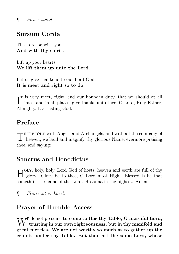¶ Please stand.

## Sursum Corda

The Lord be with you. And with thy spirit.

Lift up your hearts. We lift them up unto the Lord.

Let us give thanks unto our Lord God. It is meet and right so to do.

I<sup>T</sup> is very meet, right, and our bounden duty, that we should at all times, and in all places, give thanks unto thee, O Lord, Holy Father,  $\tau$ <sup>T</sup> is very meet, right, and our bounden duty, that we should at all Almighty, Everlasting God.

#### Preface

THEREFORE with Angels and Archangels, and with all the company of heaven, we laud and magnify thy glorious Name; evermore praising herefore with Angels and Archangels, and with all the company of thee, and saying:

#### Sanctus and Benedictus

H OLY, holy, holy, Lord God of hosts, heaven and earth are full of thy glory: Glory be to thee, O Lord most High. Blessed is he that glory: Glory be to thee, O Lord most High. Blessed is he that cometh in the name of the Lord. Hosanna in the highest. Amen.

¶ Please sit or kneel.

#### Prayer of Humble Access

 $\rm W^E$  do not presume to come to this thy Table, O merciful Lord, trusting in our own righteousness, but in thy manifold and trusting in our own righteousness, but in thy manifold and great mercies. We are not worthy so much as to gather up the crumbs under thy Table. But thou art the same Lord, whose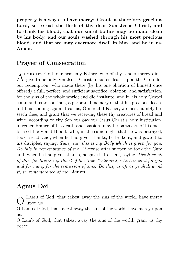property is always to have mercy: Grant us therefore, gracious Lord, so to eat the flesh of thy dear Son Jesus Christ, and to drink his blood, that our sinful bodies may be made clean by his body, and our souls washed through his most precious blood, and that we may evermore dwell in him, and he in us. Amen.

## Prayer of Consecration

A LMIGHTY God, our heavenly Father, who of thy tender mercy didst<br>A give thine only Son Jesus Christ to suffer death upon the Cross for LMIGHTY God, our heavenly Father, who of thy tender mercy didst our redemption; who made there (by his one oblation of himself once offered) a full, perfect, and sufficient sacrifice, oblation, and satisfaction, for the sins of the whole world; and did institute, and in his holy Gospel command us to continue, a perpetual memory of that his precious death, until his coming again: Hear us, O merciful Father, we most humbly beseech thee; and grant that we receiving these thy creatures of bread and wine, according to thy Son our Saviour Jesus Christ's holy institution, in remembrance of his death and passion, may be partakers of his most blessed Body and Blood: who, in the same night that he was betrayed, took Bread; and, when he had given thanks, he brake it, and gave it to his disciples, saying, Take, eat; this is my Body which is given for you: Do this in remembrance of me. Likewise after supper he took the Cup; and, when he had given thanks, he gave it to them, saying, Drink ye all of this; for this is my Blood of the New Testament, which is shed for you and for many for the remission of sins: Do this, as oft as ye shall drink it, in remembrance of me. Amen.

# Agnus Dei

O LAMB of God, that takest away the sins of the world, have mercy upon us.

O Lamb of God, that takest away the sins of the world, have mercy upon us.

O Lamb of God, that takest away the sins of the world, grant us thy peace.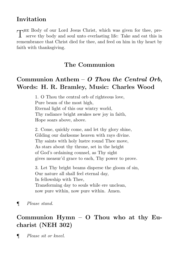## Invitation

 $\mathbf{L}$ he Body of our Lord Jesus Christ, which was given for thee, preserve thy body and soul unto everlasting life: Take and eat this in remembrance that Christ died for thee, and feed on him in thy heart by faith with thanksgiving.

## The Communion

## Communion Anthem  $-$  O Thou the Central Orb, Words: H. R. Bramley, Music: Charles Wood

1. O Thou the central orb of righteous love, Pure beam of the most high, Eternal light of this our wintry world, Thy radiance bright awakes new joy in faith, Hope soars above, above.

2. Come, quickly come, and let thy glory shine, Gilding our darksome heaven with rays divine. Thy saints with holy lustre round Thee move, As stars about thy throne, set in the height of God's ordaining counsel, as Thy sight gives measur'd grace to each, Thy power to prove.

3. Let Thy bright beams disperse the gloom of sin, Our nature all shall feel eternal day, In fellowship with Thee, Transforming day to souls while ere unclean, now pure within, now pure within. Amen.

¶ Please stand.

# Communion Hymn – O Thou who at thy Eucharist (NEH 302)

¶ Please sit or kneel.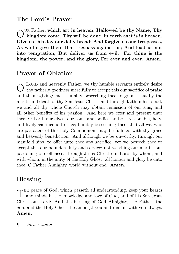## The Lord's Prayer

O ur Father, which art in heaven, Hallowed be thy Name, Thy kingdom come, Thy will be done, in earth as it is in heaven. Give us this day our daily bread; And forgive us our trespasses, As we forgive them that trespass against us; And lead us not into temptation, But deliver us from evil. For thine is the kingdom, the power, and the glory, For ever and ever. Amen.

# Prayer of Oblation

O LORD and heavenly Father, we thy humble servants entirely desire<br>O thy fatherly goodness mercifully to accept this our sacrifice of praise LORD and heavenly Father, we thy humble servants entirely desire and thanksgiving; most humbly beseeching thee to grant, that by the merits and death of thy Son Jesus Christ, and through faith in his blood, we and all thy whole Church may obtain remission of our sins, and all other benefits of his passion. And here we offer and present unto thee, O Lord, ourselves, our souls and bodies, to be a reasonable, holy, and lively sacrifice unto thee; humbly beseeching thee, that all we, who are partakers of this holy Communion, may be fulfilled with thy grace and heavenly benediction. And although we be unworthy, through our manifold sins, to offer unto thee any sacrifice, yet we beseech thee to accept this our bounden duty and service; not weighing our merits, but pardoning our offences, through Jesus Christ our Lord; by whom, and with whom, in the unity of the Holy Ghost, all honour and glory be unto thee, O Father Almighty, world without end. Amen.

## Blessing

 $\Gamma$  HHz peace of God, which passeth all understanding, keep your hearts and minds in the knowledge and love of God, and of his Son Jesus and minds in the knowledge and love of God, and of his Son Jesus Christ our Lord: And the blessing of God Almighty, the Father, the Son, and the Holy Ghost, be amongst you and remain with you always. Amen.

¶ Please stand.